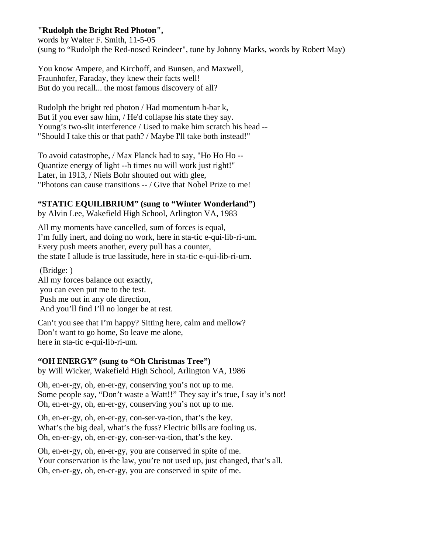## **"Rudolph the Bright Red Photon",**

words by Walter F. Smith, 11-5-05 (sung to "Rudolph the Red-nosed Reindeer", tune by Johnny Marks, words by Robert May)

You know Ampere, and Kirchoff, and Bunsen, and Maxwell, Fraunhofer, Faraday, they knew their facts well! But do you recall... the most famous discovery of all?

Rudolph the bright red photon / Had momentum h-bar k, But if you ever saw him, / He'd collapse his state they say. Young's two-slit interference / Used to make him scratch his head -- "Should I take this or that path? / Maybe I'll take both instead!"

To avoid catastrophe, / Max Planck had to say, "Ho Ho Ho -- Quantize energy of light --h times nu will work just right!" Later, in 1913, / Niels Bohr shouted out with glee, "Photons can cause transitions -- / Give that Nobel Prize to me!

## **"STATIC EQUILIBRIUM" (sung to "Winter Wonderland")**

by Alvin Lee, Wakefield High School, Arlington VA, 1983

All my moments have cancelled, sum of forces is equal, I'm fully inert, and doing no work, here in sta-tic e-qui-lib-ri-um. Every push meets another, every pull has a counter, the state I allude is true lassitude, here in sta-tic e-qui-lib-ri-um.

 (Bridge: ) All my forces balance out exactly, you can even put me to the test. Push me out in any ole direction, And you'll find I'll no longer be at rest.

Can't you see that I'm happy? Sitting here, calm and mellow? Don't want to go home, So leave me alone, here in sta-tic e-qui-lib-ri-um.

### **"OH ENERGY" (sung to "Oh Christmas Tree")**

by Will Wicker, Wakefield High School, Arlington VA, 1986

Oh, en-er-gy, oh, en-er-gy, conserving you's not up to me. Some people say, "Don't waste a Watt!!" They say it's true, I say it's not! Oh, en-er-gy, oh, en-er-gy, conserving you's not up to me.

Oh, en-er-gy, oh, en-er-gy, con-ser-va-tion, that's the key. What's the big deal, what's the fuss? Electric bills are fooling us. Oh, en-er-gy, oh, en-er-gy, con-ser-va-tion, that's the key.

Oh, en-er-gy, oh, en-er-gy, you are conserved in spite of me. Your conservation is the law, you're not used up, just changed, that's all. Oh, en-er-gy, oh, en-er-gy, you are conserved in spite of me.